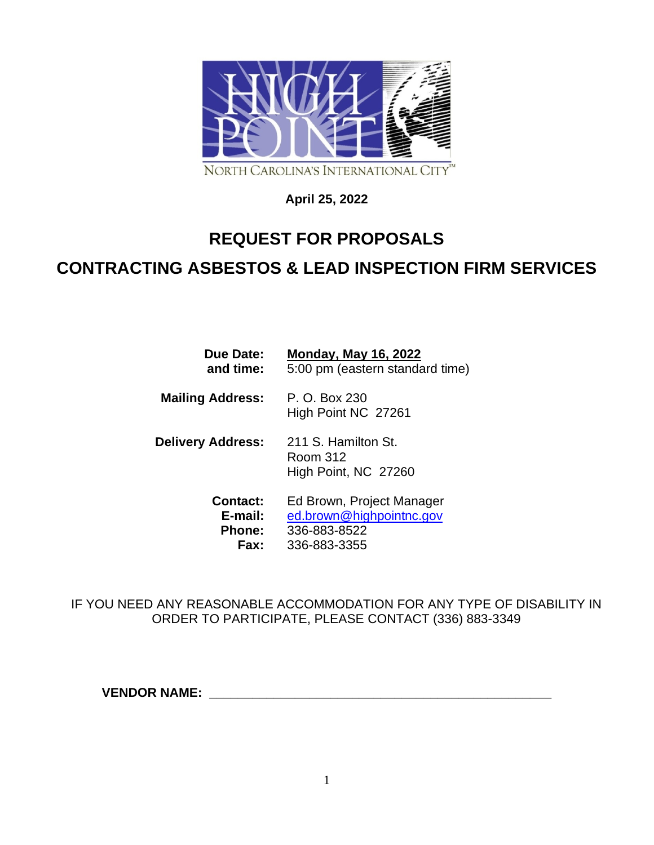

# **April 25, 2022**

# **REQUEST FOR PROPOSALS CONTRACTING ASBESTOS & LEAD INSPECTION FIRM SERVICES**

| Due Date:                | <b>Monday, May 16, 2022</b>                             |
|--------------------------|---------------------------------------------------------|
| and time:                | 5:00 pm (eastern standard time)                         |
| <b>Mailing Address:</b>  | P. O. Box 230<br>High Point NC 27261                    |
| <b>Delivery Address:</b> | 211 S. Hamilton St.<br>Room 312<br>High Point, NC 27260 |
| <b>Contact:</b>          | Ed Brown, Project Manager                               |
| E-mail:                  | ed.brown@highpointnc.gov                                |
| <b>Phone:</b>            | 336-883-8522                                            |
| Fax:                     | 336-883-3355                                            |

IF YOU NEED ANY REASONABLE ACCOMMODATION FOR ANY TYPE OF DISABILITY IN ORDER TO PARTICIPATE, PLEASE CONTACT (336) 883-3349

**VENDOR NAME:**  $\blacksquare$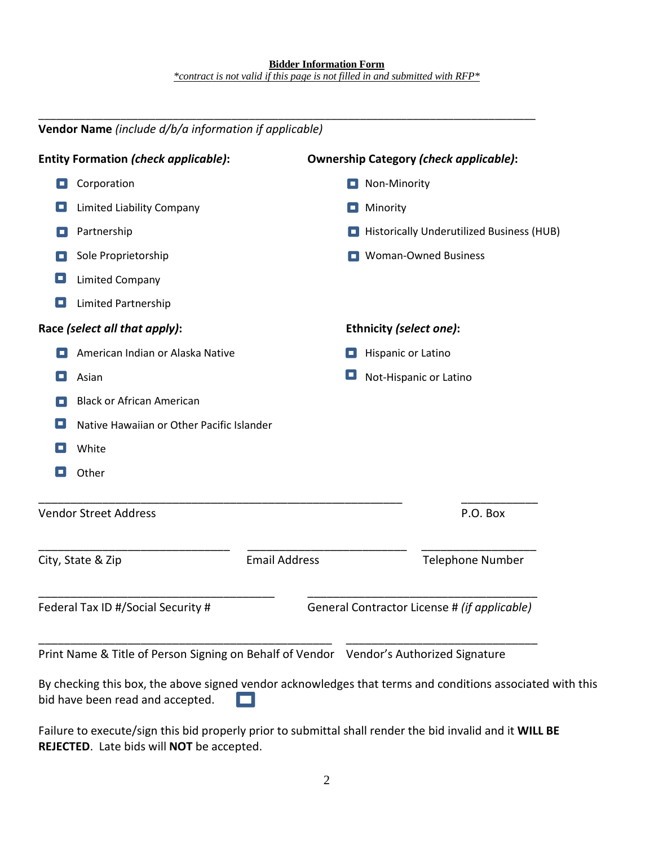\_\_\_\_\_\_\_\_\_\_\_\_\_\_\_\_\_\_\_\_\_\_\_\_\_\_\_\_\_\_\_\_\_\_\_\_\_\_\_\_\_\_\_\_\_\_\_\_\_\_\_\_\_\_\_\_\_\_\_\_\_\_\_\_\_\_\_\_\_\_\_\_\_\_\_\_\_\_\_\_\_\_\_\_\_

|    | Vendor Name (include d/b/a information if applicable)                                  |                      |   |                                               |
|----|----------------------------------------------------------------------------------------|----------------------|---|-----------------------------------------------|
|    | <b>Entity Formation (check applicable):</b>                                            |                      |   | <b>Ownership Category (check applicable):</b> |
| O  | Corporation                                                                            |                      |   | $\Box$ Non-Minority                           |
| о  | Limited Liability Company                                                              |                      | п | Minority                                      |
| о  | Partnership                                                                            |                      |   | Historically Underutilized Business (HUB)     |
|    | Sole Proprietorship                                                                    |                      |   | Woman-Owned Business                          |
| о  | <b>Limited Company</b>                                                                 |                      |   |                                               |
| O  | Limited Partnership                                                                    |                      |   |                                               |
|    | Race (select all that apply):                                                          |                      |   | Ethnicity (select one):                       |
|    | American Indian or Alaska Native                                                       |                      | о | Hispanic or Latino                            |
| П  | Asian                                                                                  |                      | ш | Not-Hispanic or Latino                        |
|    | <b>Black or African American</b>                                                       |                      |   |                                               |
| o, | Native Hawaiian or Other Pacific Islander                                              |                      |   |                                               |
|    | White                                                                                  |                      |   |                                               |
|    | Other                                                                                  |                      |   |                                               |
|    | <b>Vendor Street Address</b>                                                           |                      |   | P.O. Box                                      |
|    | City, State & Zip                                                                      | <b>Email Address</b> |   | <b>Telephone Number</b>                       |
|    | Federal Tax ID #/Social Security #                                                     |                      |   | General Contractor License # (if applicable)  |
|    | Print Name & Title of Person Signing on Behalf of Vendor Vendor's Authorized Signature |                      |   |                                               |

By checking this box, the above signed vendor acknowledges that terms and conditions associated with this bid have been read and accepted. О.

Failure to execute/sign this bid properly prior to submittal shall render the bid invalid and it **WILL BE REJECTED**. Late bids will **NOT** be accepted.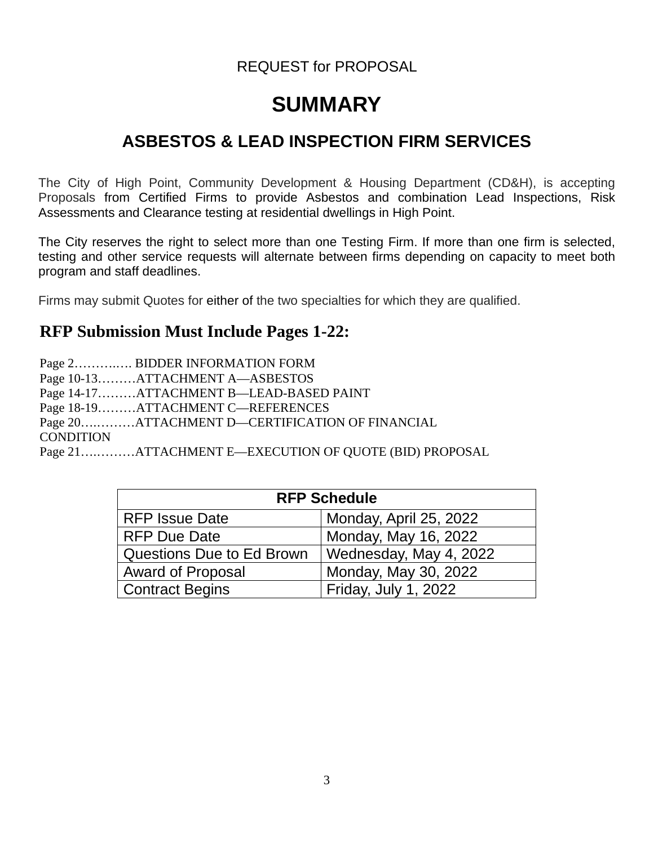# REQUEST for PROPOSAL

# **SUMMARY**

# **ASBESTOS & LEAD INSPECTION FIRM SERVICES**

The City of High Point, Community Development & Housing Department (CD&H), is accepting Proposals from Certified Firms to provide Asbestos and combination Lead Inspections, Risk Assessments and Clearance testing at residential dwellings in High Point.

The City reserves the right to select more than one Testing Firm. If more than one firm is selected, testing and other service requests will alternate between firms depending on capacity to meet both program and staff deadlines.

Firms may submit Quotes for either of the two specialties for which they are qualified.

# **RFP Submission Must Include Pages 1-22:**

Page 2……….…. BIDDER INFORMATION FORM Page 10-13………ATTACHMENT A—ASBESTOS Page 14-17………ATTACHMENT B—LEAD-BASED PAINT Page 18-19………ATTACHMENT C—REFERENCES Page 20….………ATTACHMENT D—CERTIFICATION OF FINANCIAL **CONDITION** 

Page 21….………ATTACHMENT E—EXECUTION OF QUOTE (BID) PROPOSAL

| <b>RFP Schedule</b>       |                        |  |
|---------------------------|------------------------|--|
| <b>RFP Issue Date</b>     | Monday, April 25, 2022 |  |
| <b>RFP Due Date</b>       | Monday, May 16, 2022   |  |
| Questions Due to Ed Brown | Wednesday, May 4, 2022 |  |
| <b>Award of Proposal</b>  | Monday, May 30, 2022   |  |
| <b>Contract Begins</b>    | Friday, July 1, 2022   |  |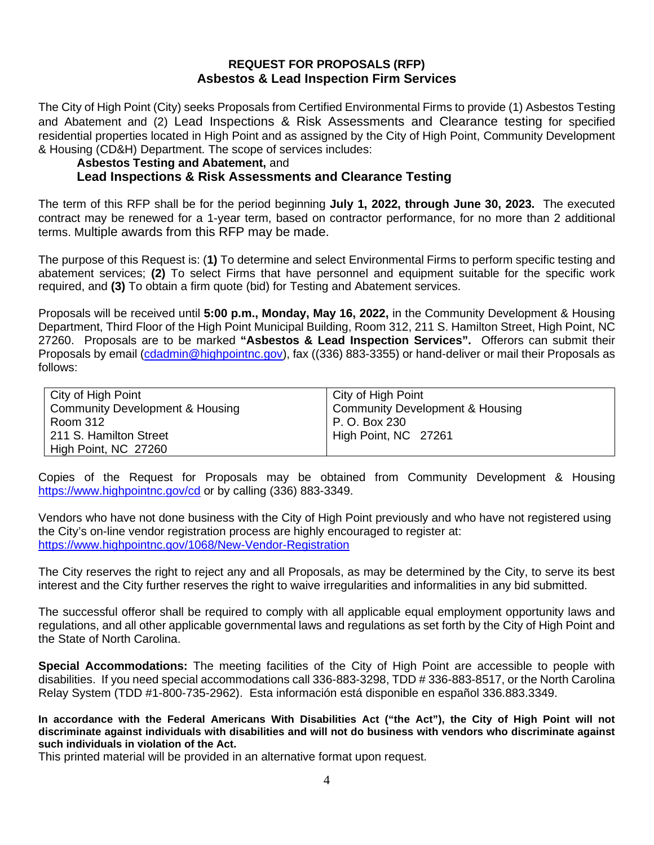### **REQUEST FOR PROPOSALS (RFP) Asbestos & Lead Inspection Firm Services**

The City of High Point (City) seeks Proposals from Certified Environmental Firms to provide (1) Asbestos Testing and Abatement and (2) Lead Inspections & Risk Assessments and Clearance testing for specified residential properties located in High Point and as assigned by the City of High Point, Community Development & Housing (CD&H) Department. The scope of services includes:

#### **Asbestos Testing and Abatement,** and

# **Lead Inspections & Risk Assessments and Clearance Testing**

The term of this RFP shall be for the period beginning **July 1, 2022, through June 30, 2023.** The executed contract may be renewed for a 1-year term, based on contractor performance, for no more than 2 additional terms. Multiple awards from this RFP may be made.

The purpose of this Request is: (**1)** To determine and select Environmental Firms to perform specific testing and abatement services; **(2)** To select Firms that have personnel and equipment suitable for the specific work required, and **(3)** To obtain a firm quote (bid) for Testing and Abatement services.

Proposals will be received until **5:00 p.m., Monday, May 16, 2022,** in the Community Development & Housing Department, Third Floor of the High Point Municipal Building, Room 312, 211 S. Hamilton Street, High Point, NC 27260. Proposals are to be marked **"Asbestos & Lead Inspection Services".** Offerors can submit their Proposals by email [\(cdadmin@highpointnc.gov\)](mailto:cdadmin@highpointnc.gov), fax ((336) 883-3355) or hand-deliver or mail their Proposals as follows:

| City of High Point                         | City of High Point              |
|--------------------------------------------|---------------------------------|
| <b>Community Development &amp; Housing</b> | Community Development & Housing |
| Room 312                                   | P. O. Box 230                   |
| 211 S. Hamilton Street                     | High Point, NC 27261            |
| High Point, NC 27260                       |                                 |

Copies of the Request for Proposals may be obtained from Community Development & Housing https://www.highpointnc.gov/cd or by calling (336) 883-3349.

Vendors who have not done business with the City of High Point previously and who have not registered using the City's on-line vendor registration process are highly encouraged to register at: <https://www.highpointnc.gov/1068/New-Vendor-Registration>

The City reserves the right to reject any and all Proposals, as may be determined by the City, to serve its best interest and the City further reserves the right to waive irregularities and informalities in any bid submitted.

The successful offeror shall be required to comply with all applicable equal employment opportunity laws and regulations, and all other applicable governmental laws and regulations as set forth by the City of High Point and the State of North Carolina.

**Special Accommodations:** The meeting facilities of the City of High Point are accessible to people with disabilities. If you need special accommodations call 336-883-3298, TDD # 336-883-8517, or the North Carolina Relay System (TDD #1-800-735-2962). Esta información está disponible en español 336.883.3349.

**In accordance with the Federal Americans With Disabilities Act ("the Act"), the City of High Point will not discriminate against individuals with disabilities and will not do business with vendors who discriminate against such individuals in violation of the Act.** 

This printed material will be provided in an alternative format upon request.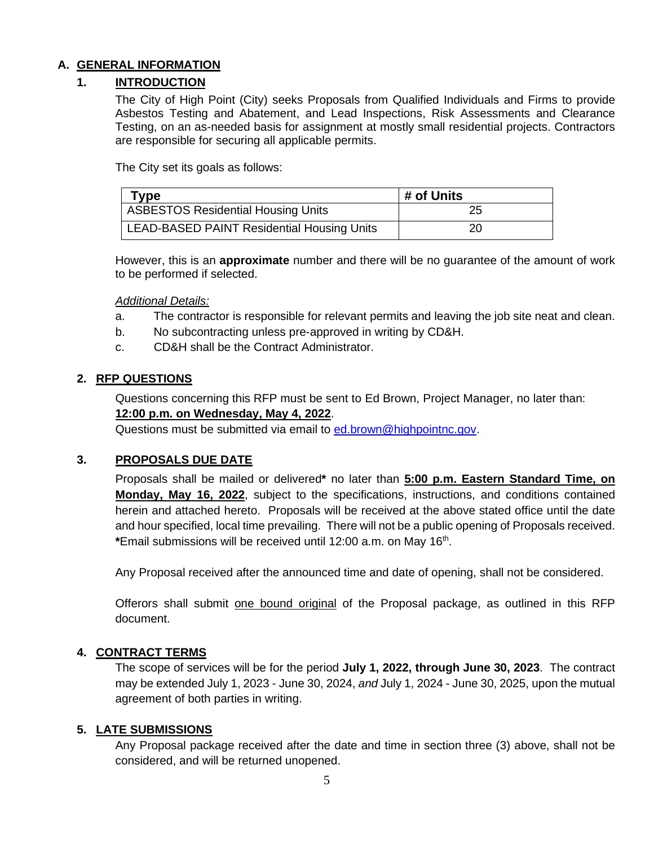# **A. GENERAL INFORMATION**

# **1. INTRODUCTION**

The City of High Point (City) seeks Proposals from Qualified Individuals and Firms to provide Asbestos Testing and Abatement, and Lead Inspections, Risk Assessments and Clearance Testing, on an as-needed basis for assignment at mostly small residential projects. Contractors are responsible for securing all applicable permits.

The City set its goals as follows:

| Type                                              | # of Units |
|---------------------------------------------------|------------|
| ASBESTOS Residential Housing Units                | 25         |
| <b>LEAD-BASED PAINT Residential Housing Units</b> | 20         |

However, this is an **approximate** number and there will be no guarantee of the amount of work to be performed if selected.

#### *Additional Details:*

- a. The contractor is responsible for relevant permits and leaving the job site neat and clean.
- b. No subcontracting unless pre-approved in writing by CD&H.
- c. CD&H shall be the Contract Administrator.

#### **2. RFP QUESTIONS**

Questions concerning this RFP must be sent to Ed Brown, Project Manager, no later than:

# **12:00 p.m. on Wednesday, May 4, 2022**.

Questions must be submitted via email to [ed.brown@highpointnc.gov.](mailto:ed.brown@highpointnc.gov)

### **3. PROPOSALS DUE DATE**

Proposals shall be mailed or delivered**\*** no later than **5:00 p.m. Eastern Standard Time, on Monday, May 16, 2022**, subject to the specifications, instructions, and conditions contained herein and attached hereto. Proposals will be received at the above stated office until the date and hour specified, local time prevailing. There will not be a public opening of Proposals received. **\***Email submissions will be received until 12:00 a.m. on May 16th.

Any Proposal received after the announced time and date of opening, shall not be considered.

Offerors shall submit one bound original of the Proposal package, as outlined in this RFP document.

#### **4. CONTRACT TERMS**

The scope of services will be for the period **July 1, 2022, through June 30, 2023**. The contract may be extended July 1, 2023 - June 30, 2024, *and* July 1, 2024 - June 30, 2025, upon the mutual agreement of both parties in writing.

#### **5. LATE SUBMISSIONS**

Any Proposal package received after the date and time in section three (3) above, shall not be considered, and will be returned unopened.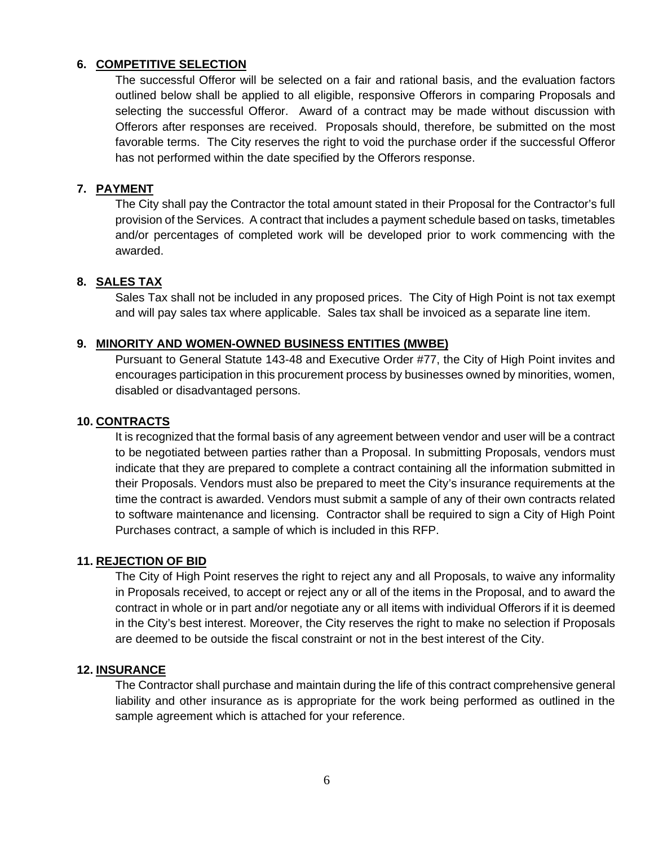# **6. COMPETITIVE SELECTION**

The successful Offeror will be selected on a fair and rational basis, and the evaluation factors outlined below shall be applied to all eligible, responsive Offerors in comparing Proposals and selecting the successful Offeror. Award of a contract may be made without discussion with Offerors after responses are received. Proposals should, therefore, be submitted on the most favorable terms. The City reserves the right to void the purchase order if the successful Offeror has not performed within the date specified by the Offerors response.

### **7. PAYMENT**

The City shall pay the Contractor the total amount stated in their Proposal for the Contractor's full provision of the Services. A contract that includes a payment schedule based on tasks, timetables and/or percentages of completed work will be developed prior to work commencing with the awarded.

### **8. SALES TAX**

Sales Tax shall not be included in any proposed prices. The City of High Point is not tax exempt and will pay sales tax where applicable. Sales tax shall be invoiced as a separate line item.

#### **9. MINORITY AND WOMEN-OWNED BUSINESS ENTITIES (MWBE)**

Pursuant to General Statute 143-48 and Executive Order #77, the City of High Point invites and encourages participation in this procurement process by businesses owned by minorities, women, disabled or disadvantaged persons.

#### **10. CONTRACTS**

It is recognized that the formal basis of any agreement between vendor and user will be a contract to be negotiated between parties rather than a Proposal. In submitting Proposals, vendors must indicate that they are prepared to complete a contract containing all the information submitted in their Proposals. Vendors must also be prepared to meet the City's insurance requirements at the time the contract is awarded. Vendors must submit a sample of any of their own contracts related to software maintenance and licensing. Contractor shall be required to sign a City of High Point Purchases contract, a sample of which is included in this RFP.

#### **11. REJECTION OF BID**

The City of High Point reserves the right to reject any and all Proposals, to waive any informality in Proposals received, to accept or reject any or all of the items in the Proposal, and to award the contract in whole or in part and/or negotiate any or all items with individual Offerors if it is deemed in the City's best interest. Moreover, the City reserves the right to make no selection if Proposals are deemed to be outside the fiscal constraint or not in the best interest of the City.

#### **12. INSURANCE**

The Contractor shall purchase and maintain during the life of this contract comprehensive general liability and other insurance as is appropriate for the work being performed as outlined in the sample agreement which is attached for your reference.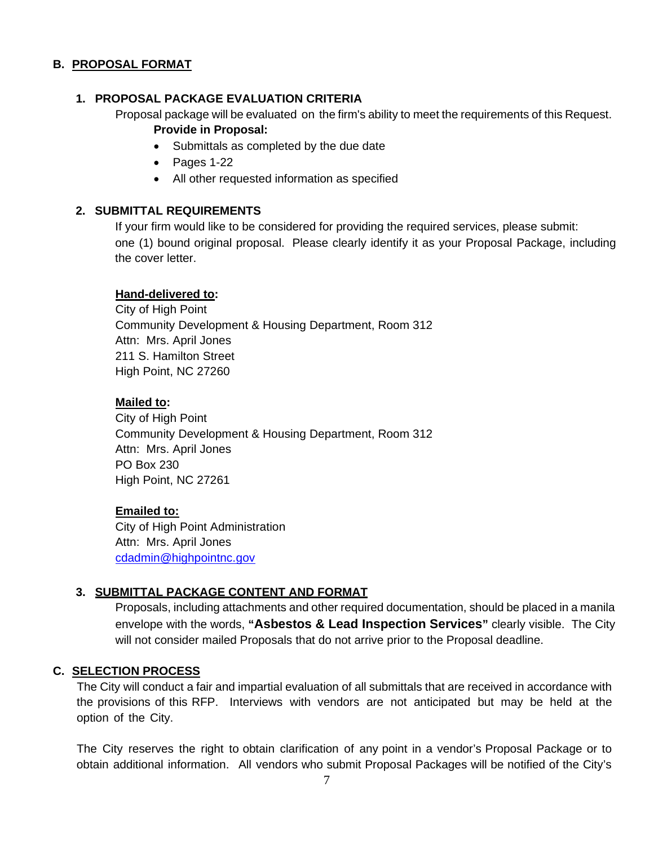### **B. PROPOSAL FORMAT**

### **1. PROPOSAL PACKAGE EVALUATION CRITERIA**

Proposal package will be evaluated on the firm's ability to meet the requirements of this Request. **Provide in Proposal:**

- Submittals as completed by the due date
- Pages 1-22
- All other requested information as specified

### **2. SUBMITTAL REQUIREMENTS**

If your firm would like to be considered for providing the required services, please submit: one (1) bound original proposal. Please clearly identify it as your Proposal Package, including the cover letter.

#### **Hand-delivered to:**

City of High Point Community Development & Housing Department, Room 312 Attn: Mrs. April Jones 211 S. Hamilton Street High Point, NC 27260

### **Mailed to:**

City of High Point Community Development & Housing Department, Room 312 Attn: Mrs. April Jones PO Box 230 High Point, NC 27261

#### **Emailed to:**

City of High Point Administration Attn: Mrs. April Jones [cdadmin@highpointnc.gov](mailto:cdadmin@highpointnc.gov)

### **3. SUBMITTAL PACKAGE CONTENT AND FORMAT**

Proposals, including attachments and other required documentation, should be placed in a manila envelope with the words, **"Asbestos & Lead Inspection Services"** clearly visible. The City will not consider mailed Proposals that do not arrive prior to the Proposal deadline.

### **C. SELECTION PROCESS**

The City will conduct a fair and impartial evaluation of all submittals that are received in accordance with the provisions of this RFP. Interviews with vendors are not anticipated but may be held at the option of the City.

The City reserves the right to obtain clarification of any point in a vendor's Proposal Package or to obtain additional information. All vendors who submit Proposal Packages will be notified of the City's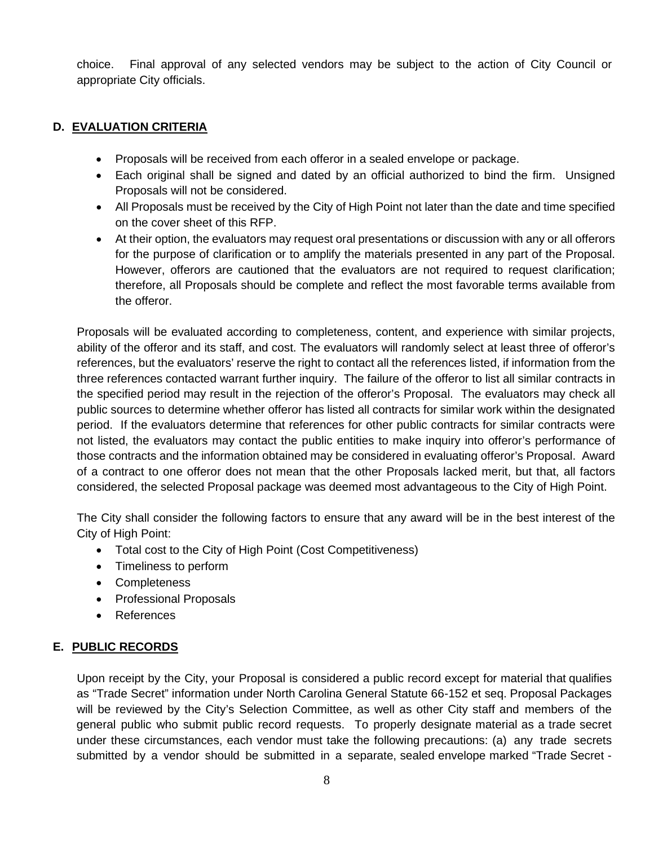choice. Final approval of any selected vendors may be subject to the action of City Council or appropriate City officials.

# **D. EVALUATION CRITERIA**

- Proposals will be received from each offeror in a sealed envelope or package.
- Each original shall be signed and dated by an official authorized to bind the firm. Unsigned Proposals will not be considered.
- All Proposals must be received by the City of High Point not later than the date and time specified on the cover sheet of this RFP.
- At their option, the evaluators may request oral presentations or discussion with any or all offerors for the purpose of clarification or to amplify the materials presented in any part of the Proposal. However, offerors are cautioned that the evaluators are not required to request clarification; therefore, all Proposals should be complete and reflect the most favorable terms available from the offeror.

Proposals will be evaluated according to completeness, content, and experience with similar projects, ability of the offeror and its staff, and cost. The evaluators will randomly select at least three of offeror's references, but the evaluators' reserve the right to contact all the references listed, if information from the three references contacted warrant further inquiry. The failure of the offeror to list all similar contracts in the specified period may result in the rejection of the offeror's Proposal. The evaluators may check all public sources to determine whether offeror has listed all contracts for similar work within the designated period. If the evaluators determine that references for other public contracts for similar contracts were not listed, the evaluators may contact the public entities to make inquiry into offeror's performance of those contracts and the information obtained may be considered in evaluating offeror's Proposal. Award of a contract to one offeror does not mean that the other Proposals lacked merit, but that, all factors considered, the selected Proposal package was deemed most advantageous to the City of High Point.

The City shall consider the following factors to ensure that any award will be in the best interest of the City of High Point:

- Total cost to the City of High Point (Cost Competitiveness)
- Timeliness to perform
- Completeness
- Professional Proposals
- References

### **E. PUBLIC RECORDS**

Upon receipt by the City, your Proposal is considered a public record except for material that qualifies as "Trade Secret" information under North Carolina General Statute 66-152 et seq. Proposal Packages will be reviewed by the City's Selection Committee, as well as other City staff and members of the general public who submit public record requests. To properly designate material as a trade secret under these circumstances, each vendor must take the following precautions: (a) any trade secrets submitted by a vendor should be submitted in a separate, sealed envelope marked "Trade Secret -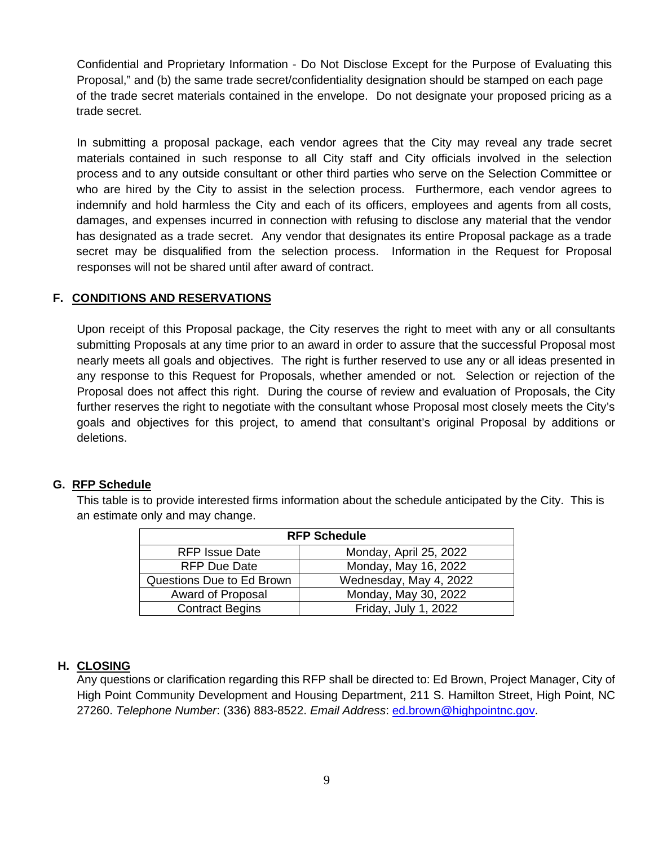Confidential and Proprietary Information - Do Not Disclose Except for the Purpose of Evaluating this Proposal," and (b) the same trade secret/confidentiality designation should be stamped on each page of the trade secret materials contained in the envelope. Do not designate your proposed pricing as a trade secret.

In submitting a proposal package, each vendor agrees that the City may reveal any trade secret materials contained in such response to all City staff and City officials involved in the selection process and to any outside consultant or other third parties who serve on the Selection Committee or who are hired by the City to assist in the selection process. Furthermore, each vendor agrees to indemnify and hold harmless the City and each of its officers, employees and agents from all costs, damages, and expenses incurred in connection with refusing to disclose any material that the vendor has designated as a trade secret. Any vendor that designates its entire Proposal package as a trade secret may be disqualified from the selection process. Information in the Request for Proposal responses will not be shared until after award of contract.

### **F. CONDITIONS AND RESERVATIONS**

Upon receipt of this Proposal package, the City reserves the right to meet with any or all consultants submitting Proposals at any time prior to an award in order to assure that the successful Proposal most nearly meets all goals and objectives. The right is further reserved to use any or all ideas presented in any response to this Request for Proposals, whether amended or not. Selection or rejection of the Proposal does not affect this right. During the course of review and evaluation of Proposals, the City further reserves the right to negotiate with the consultant whose Proposal most closely meets the City's goals and objectives for this project, to amend that consultant's original Proposal by additions or deletions.

#### **G. RFP Schedule**

This table is to provide interested firms information about the schedule anticipated by the City. This is an estimate only and may change.

| <b>RFP Schedule</b>       |                        |  |
|---------------------------|------------------------|--|
| <b>RFP Issue Date</b>     | Monday, April 25, 2022 |  |
| <b>RFP Due Date</b>       | Monday, May 16, 2022   |  |
| Questions Due to Ed Brown | Wednesday, May 4, 2022 |  |
| Award of Proposal         | Monday, May 30, 2022   |  |
| <b>Contract Begins</b>    | Friday, July 1, 2022   |  |

#### **H. CLOSING**

Any questions or clarification regarding this RFP shall be directed to: Ed Brown, Project Manager, City of High Point Community Development and Housing Department, 211 S. Hamilton Street, High Point, NC 27260. *Telephone Number*: (336) 883-8522. *Email Address*: [ed.brown@highpointnc.gov.](mailto:ed.brown@highpointnc.gov)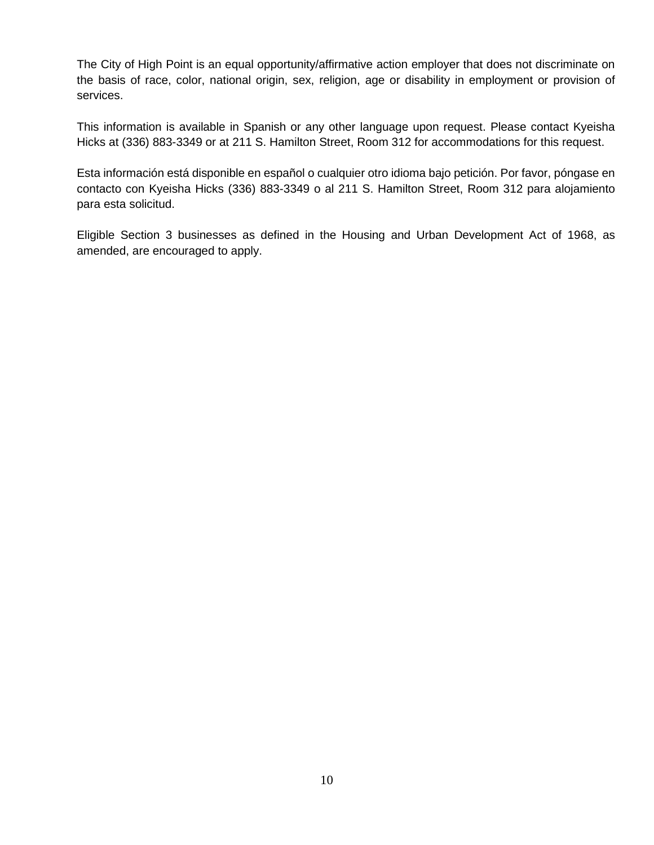The City of High Point is an equal opportunity/affirmative action employer that does not discriminate on the basis of race, color, national origin, sex, religion, age or disability in employment or provision of services.

This information is available in Spanish or any other language upon request. Please contact Kyeisha Hicks at (336) 883-3349 or at 211 S. Hamilton Street, Room 312 for accommodations for this request.

Esta información está disponible en español o cualquier otro idioma bajo petición. Por favor, póngase en contacto con Kyeisha Hicks (336) 883-3349 o al 211 S. Hamilton Street, Room 312 para alojamiento para esta solicitud.

Eligible Section 3 businesses as defined in the Housing and Urban Development Act of 1968, as amended, are encouraged to apply.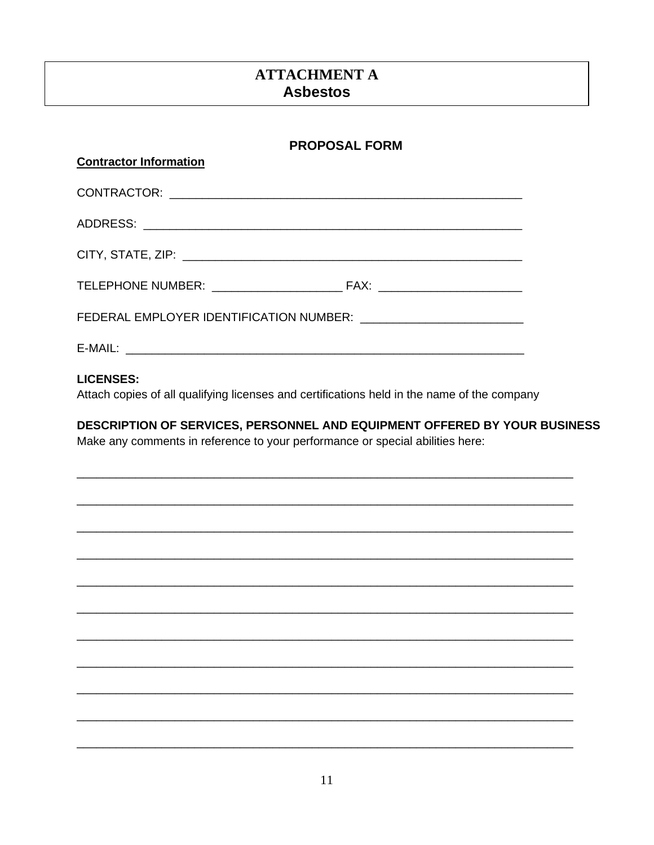# **ATTACHMENT A Asbestos**

| <b>PROPOSAL FORM</b>                                                                                                                                       |  |
|------------------------------------------------------------------------------------------------------------------------------------------------------------|--|
| <b>Contractor Information</b>                                                                                                                              |  |
|                                                                                                                                                            |  |
|                                                                                                                                                            |  |
|                                                                                                                                                            |  |
|                                                                                                                                                            |  |
| FEDERAL EMPLOYER IDENTIFICATION NUMBER: ____________________________                                                                                       |  |
|                                                                                                                                                            |  |
| <b>LICENSES:</b><br>Attach copies of all qualifying licenses and certifications held in the name of the company                                            |  |
| DESCRIPTION OF SERVICES, PERSONNEL AND EQUIPMENT OFFERED BY YOUR BUSINESS<br>Make any comments in reference to your performance or special abilities here: |  |
|                                                                                                                                                            |  |
|                                                                                                                                                            |  |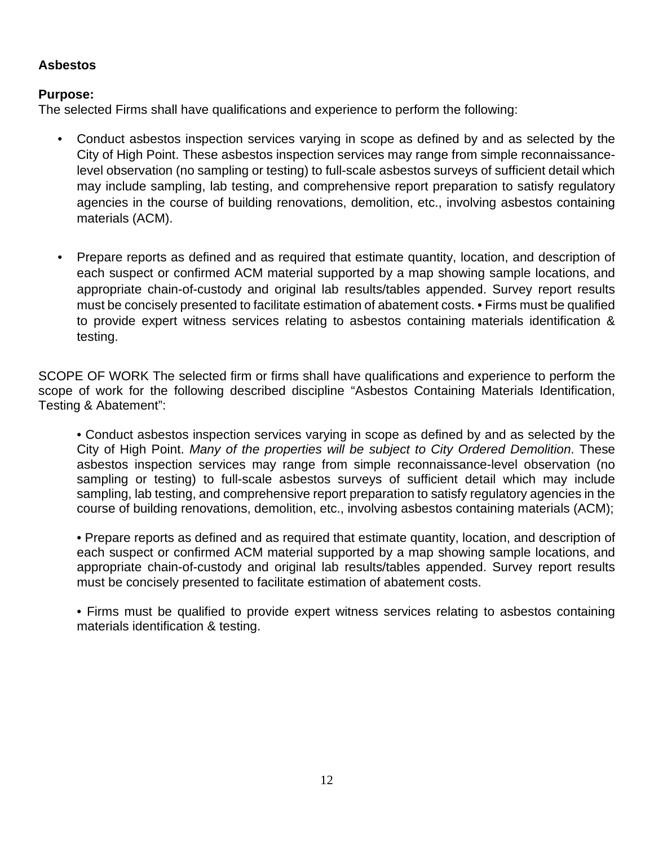# **Asbestos**

# **Purpose:**

The selected Firms shall have qualifications and experience to perform the following:

- Conduct asbestos inspection services varying in scope as defined by and as selected by the City of High Point. These asbestos inspection services may range from simple reconnaissancelevel observation (no sampling or testing) to full-scale asbestos surveys of sufficient detail which may include sampling, lab testing, and comprehensive report preparation to satisfy regulatory agencies in the course of building renovations, demolition, etc., involving asbestos containing materials (ACM).
- Prepare reports as defined and as required that estimate quantity, location, and description of each suspect or confirmed ACM material supported by a map showing sample locations, and appropriate chain-of-custody and original lab results/tables appended. Survey report results must be concisely presented to facilitate estimation of abatement costs. • Firms must be qualified to provide expert witness services relating to asbestos containing materials identification & testing.

SCOPE OF WORK The selected firm or firms shall have qualifications and experience to perform the scope of work for the following described discipline "Asbestos Containing Materials Identification, Testing & Abatement":

• Conduct asbestos inspection services varying in scope as defined by and as selected by the City of High Point. *Many of the properties will be subject to City Ordered Demolition*. These asbestos inspection services may range from simple reconnaissance-level observation (no sampling or testing) to full-scale asbestos surveys of sufficient detail which may include sampling, lab testing, and comprehensive report preparation to satisfy regulatory agencies in the course of building renovations, demolition, etc., involving asbestos containing materials (ACM);

• Prepare reports as defined and as required that estimate quantity, location, and description of each suspect or confirmed ACM material supported by a map showing sample locations, and appropriate chain-of-custody and original lab results/tables appended. Survey report results must be concisely presented to facilitate estimation of abatement costs.

• Firms must be qualified to provide expert witness services relating to asbestos containing materials identification & testing.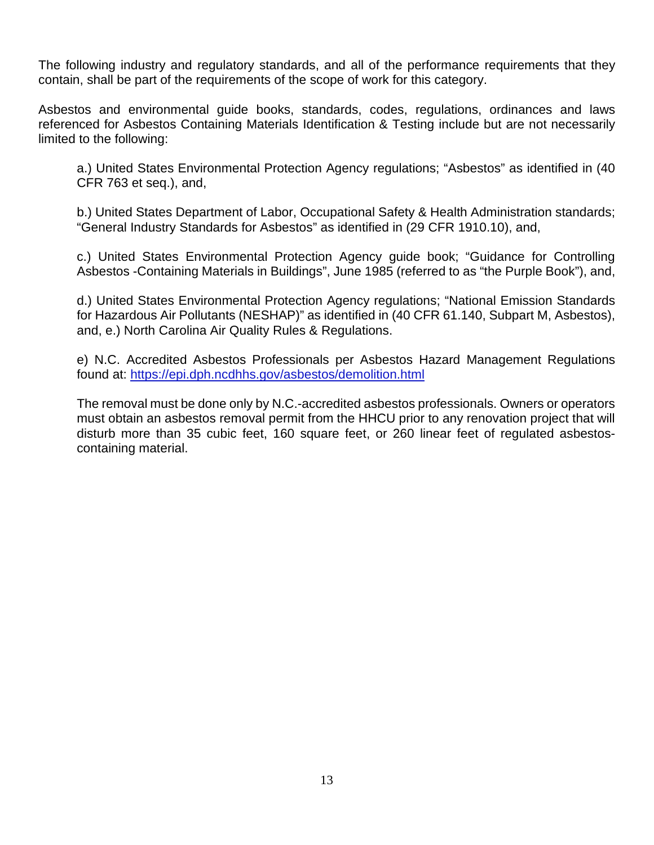The following industry and regulatory standards, and all of the performance requirements that they contain, shall be part of the requirements of the scope of work for this category.

Asbestos and environmental guide books, standards, codes, regulations, ordinances and laws referenced for Asbestos Containing Materials Identification & Testing include but are not necessarily limited to the following:

a.) United States Environmental Protection Agency regulations; "Asbestos" as identified in (40 CFR 763 et seq.), and,

b.) United States Department of Labor, Occupational Safety & Health Administration standards; "General Industry Standards for Asbestos" as identified in (29 CFR 1910.10), and,

c.) United States Environmental Protection Agency guide book; "Guidance for Controlling Asbestos -Containing Materials in Buildings", June 1985 (referred to as "the Purple Book"), and,

d.) United States Environmental Protection Agency regulations; "National Emission Standards for Hazardous Air Pollutants (NESHAP)" as identified in (40 CFR 61.140, Subpart M, Asbestos), and, e.) North Carolina Air Quality Rules & Regulations.

e) N.C. Accredited Asbestos Professionals per Asbestos Hazard Management Regulations found at:<https://epi.dph.ncdhhs.gov/asbestos/demolition.html>

The removal must be done only by N.C.-accredited asbestos professionals. Owners or operators must obtain an asbestos removal permit from the HHCU prior to any renovation project that will disturb more than 35 cubic feet, 160 square feet, or 260 linear feet of regulated asbestoscontaining material.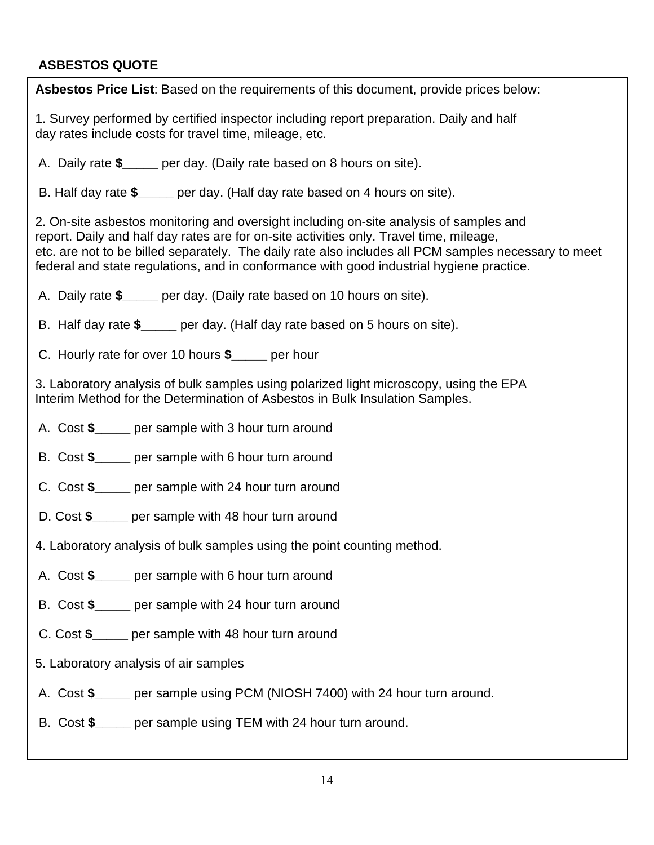# **ASBESTOS QUOTE**

| 1. Survey performed by certified inspector including report preparation. Daily and half<br>day rates include costs for travel time, mileage, etc.<br>A. Daily rate \$_____ per day. (Daily rate based on 8 hours on site).<br>B. Half day rate \$_____ per day. (Half day rate based on 4 hours on site).<br>2. On-site asbestos monitoring and oversight including on-site analysis of samples and<br>report. Daily and half day rates are for on-site activities only. Travel time, mileage,<br>etc. are not to be billed separately. The daily rate also includes all PCM samples necessary to meet<br>federal and state regulations, and in conformance with good industrial hygiene practice.<br>A. Daily rate \$_____ per day. (Daily rate based on 10 hours on site).<br>B. Half day rate \$_____ per day. (Half day rate based on 5 hours on site).<br>C. Hourly rate for over 10 hours \$ _____ per hour<br>3. Laboratory analysis of bulk samples using polarized light microscopy, using the EPA<br>Interim Method for the Determination of Asbestos in Bulk Insulation Samples.<br>A. Cost \$_____ per sample with 3 hour turn around<br>B. Cost \$_____ per sample with 6 hour turn around<br>C. Cost \$_____ per sample with 24 hour turn around<br>D. Cost \$ _____ per sample with 48 hour turn around<br>4. Laboratory analysis of bulk samples using the point counting method.<br>A. Cost \$_____ per sample with 6 hour turn around<br>B. Cost \$_____ per sample with 24 hour turn around<br>C. Cost \$ per sample with 48 hour turn around<br>5. Laboratory analysis of air samples<br>A. Cost \$_____ per sample using PCM (NIOSH 7400) with 24 hour turn around.<br>B. Cost \$_____ per sample using TEM with 24 hour turn around. | Asbestos Price List: Based on the requirements of this document, provide prices below: |  |  |  |
|------------------------------------------------------------------------------------------------------------------------------------------------------------------------------------------------------------------------------------------------------------------------------------------------------------------------------------------------------------------------------------------------------------------------------------------------------------------------------------------------------------------------------------------------------------------------------------------------------------------------------------------------------------------------------------------------------------------------------------------------------------------------------------------------------------------------------------------------------------------------------------------------------------------------------------------------------------------------------------------------------------------------------------------------------------------------------------------------------------------------------------------------------------------------------------------------------------------------------------------------------------------------------------------------------------------------------------------------------------------------------------------------------------------------------------------------------------------------------------------------------------------------------------------------------------------------------------------------------------------------------------------------------------------------------------------------------------------------------------------------------------|----------------------------------------------------------------------------------------|--|--|--|
|                                                                                                                                                                                                                                                                                                                                                                                                                                                                                                                                                                                                                                                                                                                                                                                                                                                                                                                                                                                                                                                                                                                                                                                                                                                                                                                                                                                                                                                                                                                                                                                                                                                                                                                                                            |                                                                                        |  |  |  |
|                                                                                                                                                                                                                                                                                                                                                                                                                                                                                                                                                                                                                                                                                                                                                                                                                                                                                                                                                                                                                                                                                                                                                                                                                                                                                                                                                                                                                                                                                                                                                                                                                                                                                                                                                            |                                                                                        |  |  |  |
|                                                                                                                                                                                                                                                                                                                                                                                                                                                                                                                                                                                                                                                                                                                                                                                                                                                                                                                                                                                                                                                                                                                                                                                                                                                                                                                                                                                                                                                                                                                                                                                                                                                                                                                                                            |                                                                                        |  |  |  |
|                                                                                                                                                                                                                                                                                                                                                                                                                                                                                                                                                                                                                                                                                                                                                                                                                                                                                                                                                                                                                                                                                                                                                                                                                                                                                                                                                                                                                                                                                                                                                                                                                                                                                                                                                            |                                                                                        |  |  |  |
|                                                                                                                                                                                                                                                                                                                                                                                                                                                                                                                                                                                                                                                                                                                                                                                                                                                                                                                                                                                                                                                                                                                                                                                                                                                                                                                                                                                                                                                                                                                                                                                                                                                                                                                                                            |                                                                                        |  |  |  |
|                                                                                                                                                                                                                                                                                                                                                                                                                                                                                                                                                                                                                                                                                                                                                                                                                                                                                                                                                                                                                                                                                                                                                                                                                                                                                                                                                                                                                                                                                                                                                                                                                                                                                                                                                            |                                                                                        |  |  |  |
|                                                                                                                                                                                                                                                                                                                                                                                                                                                                                                                                                                                                                                                                                                                                                                                                                                                                                                                                                                                                                                                                                                                                                                                                                                                                                                                                                                                                                                                                                                                                                                                                                                                                                                                                                            |                                                                                        |  |  |  |
|                                                                                                                                                                                                                                                                                                                                                                                                                                                                                                                                                                                                                                                                                                                                                                                                                                                                                                                                                                                                                                                                                                                                                                                                                                                                                                                                                                                                                                                                                                                                                                                                                                                                                                                                                            |                                                                                        |  |  |  |
|                                                                                                                                                                                                                                                                                                                                                                                                                                                                                                                                                                                                                                                                                                                                                                                                                                                                                                                                                                                                                                                                                                                                                                                                                                                                                                                                                                                                                                                                                                                                                                                                                                                                                                                                                            |                                                                                        |  |  |  |
|                                                                                                                                                                                                                                                                                                                                                                                                                                                                                                                                                                                                                                                                                                                                                                                                                                                                                                                                                                                                                                                                                                                                                                                                                                                                                                                                                                                                                                                                                                                                                                                                                                                                                                                                                            |                                                                                        |  |  |  |
|                                                                                                                                                                                                                                                                                                                                                                                                                                                                                                                                                                                                                                                                                                                                                                                                                                                                                                                                                                                                                                                                                                                                                                                                                                                                                                                                                                                                                                                                                                                                                                                                                                                                                                                                                            |                                                                                        |  |  |  |
|                                                                                                                                                                                                                                                                                                                                                                                                                                                                                                                                                                                                                                                                                                                                                                                                                                                                                                                                                                                                                                                                                                                                                                                                                                                                                                                                                                                                                                                                                                                                                                                                                                                                                                                                                            |                                                                                        |  |  |  |
|                                                                                                                                                                                                                                                                                                                                                                                                                                                                                                                                                                                                                                                                                                                                                                                                                                                                                                                                                                                                                                                                                                                                                                                                                                                                                                                                                                                                                                                                                                                                                                                                                                                                                                                                                            |                                                                                        |  |  |  |
|                                                                                                                                                                                                                                                                                                                                                                                                                                                                                                                                                                                                                                                                                                                                                                                                                                                                                                                                                                                                                                                                                                                                                                                                                                                                                                                                                                                                                                                                                                                                                                                                                                                                                                                                                            |                                                                                        |  |  |  |
|                                                                                                                                                                                                                                                                                                                                                                                                                                                                                                                                                                                                                                                                                                                                                                                                                                                                                                                                                                                                                                                                                                                                                                                                                                                                                                                                                                                                                                                                                                                                                                                                                                                                                                                                                            |                                                                                        |  |  |  |
|                                                                                                                                                                                                                                                                                                                                                                                                                                                                                                                                                                                                                                                                                                                                                                                                                                                                                                                                                                                                                                                                                                                                                                                                                                                                                                                                                                                                                                                                                                                                                                                                                                                                                                                                                            |                                                                                        |  |  |  |
|                                                                                                                                                                                                                                                                                                                                                                                                                                                                                                                                                                                                                                                                                                                                                                                                                                                                                                                                                                                                                                                                                                                                                                                                                                                                                                                                                                                                                                                                                                                                                                                                                                                                                                                                                            |                                                                                        |  |  |  |
|                                                                                                                                                                                                                                                                                                                                                                                                                                                                                                                                                                                                                                                                                                                                                                                                                                                                                                                                                                                                                                                                                                                                                                                                                                                                                                                                                                                                                                                                                                                                                                                                                                                                                                                                                            |                                                                                        |  |  |  |
|                                                                                                                                                                                                                                                                                                                                                                                                                                                                                                                                                                                                                                                                                                                                                                                                                                                                                                                                                                                                                                                                                                                                                                                                                                                                                                                                                                                                                                                                                                                                                                                                                                                                                                                                                            |                                                                                        |  |  |  |
|                                                                                                                                                                                                                                                                                                                                                                                                                                                                                                                                                                                                                                                                                                                                                                                                                                                                                                                                                                                                                                                                                                                                                                                                                                                                                                                                                                                                                                                                                                                                                                                                                                                                                                                                                            |                                                                                        |  |  |  |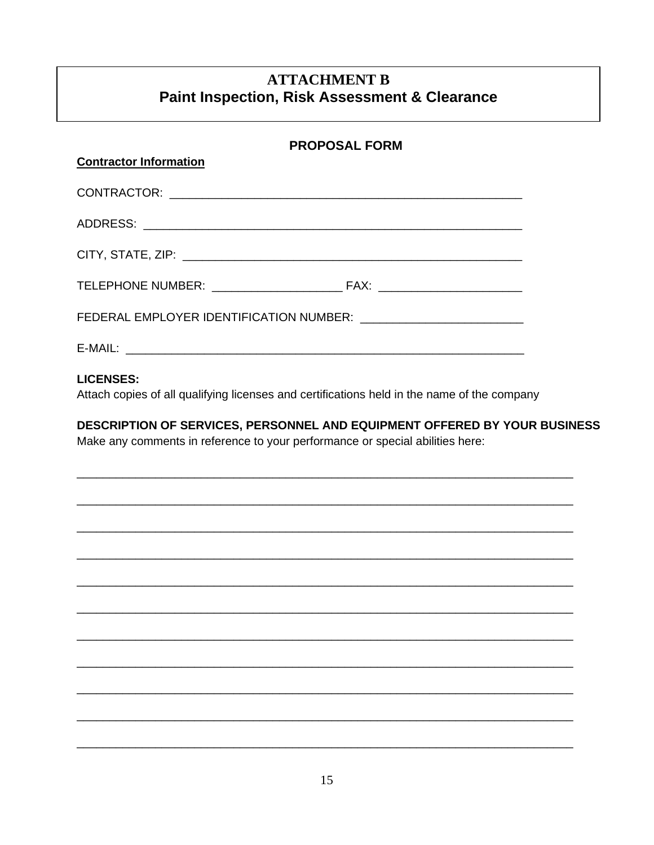# **ATTACHMENT B Paint Inspection, Risk Assessment & Clearance**

| <b>PROPOSAL FORM</b>                                                                                                                                       |  |
|------------------------------------------------------------------------------------------------------------------------------------------------------------|--|
| <b>Contractor Information</b>                                                                                                                              |  |
|                                                                                                                                                            |  |
|                                                                                                                                                            |  |
|                                                                                                                                                            |  |
|                                                                                                                                                            |  |
|                                                                                                                                                            |  |
|                                                                                                                                                            |  |
| <b>LICENSES:</b><br>Attach copies of all qualifying licenses and certifications held in the name of the company                                            |  |
| DESCRIPTION OF SERVICES, PERSONNEL AND EQUIPMENT OFFERED BY YOUR BUSINESS<br>Make any comments in reference to your performance or special abilities here: |  |
|                                                                                                                                                            |  |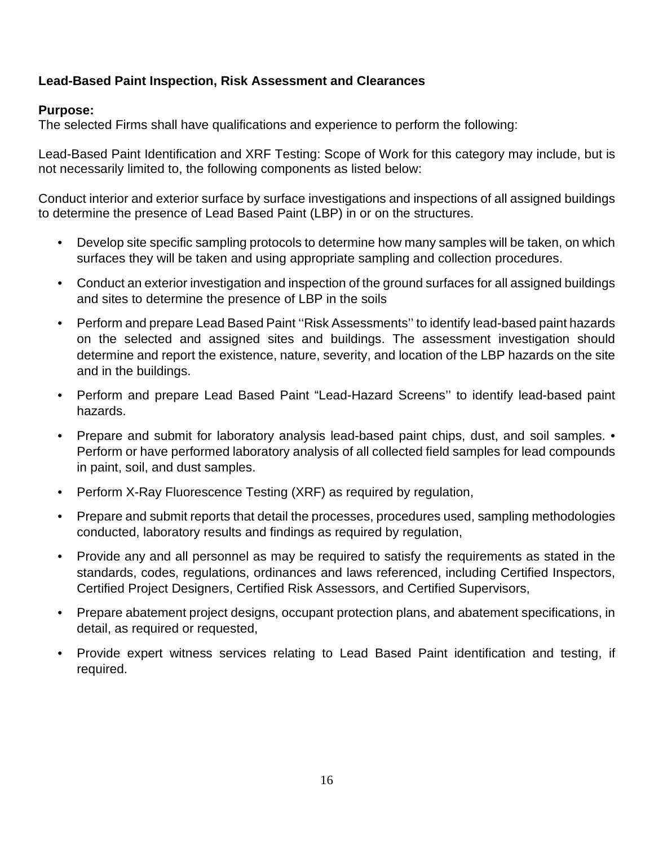# **Lead-Based Paint Inspection, Risk Assessment and Clearances**

# **Purpose:**

The selected Firms shall have qualifications and experience to perform the following:

Lead-Based Paint Identification and XRF Testing: Scope of Work for this category may include, but is not necessarily limited to, the following components as listed below:

Conduct interior and exterior surface by surface investigations and inspections of all assigned buildings to determine the presence of Lead Based Paint (LBP) in or on the structures.

- Develop site specific sampling protocols to determine how many samples will be taken, on which surfaces they will be taken and using appropriate sampling and collection procedures.
- Conduct an exterior investigation and inspection of the ground surfaces for all assigned buildings and sites to determine the presence of LBP in the soils
- Perform and prepare Lead Based Paint ''Risk Assessments'' to identify lead-based paint hazards on the selected and assigned sites and buildings. The assessment investigation should determine and report the existence, nature, severity, and location of the LBP hazards on the site and in the buildings.
- Perform and prepare Lead Based Paint "Lead-Hazard Screens'' to identify lead-based paint hazards.
- Prepare and submit for laboratory analysis lead-based paint chips, dust, and soil samples. Perform or have performed laboratory analysis of all collected field samples for lead compounds in paint, soil, and dust samples.
- Perform X-Ray Fluorescence Testing (XRF) as required by regulation,
- Prepare and submit reports that detail the processes, procedures used, sampling methodologies conducted, laboratory results and findings as required by regulation,
- Provide any and all personnel as may be required to satisfy the requirements as stated in the standards, codes, regulations, ordinances and laws referenced, including Certified Inspectors, Certified Project Designers, Certified Risk Assessors, and Certified Supervisors,
- Prepare abatement project designs, occupant protection plans, and abatement specifications, in detail, as required or requested,
- Provide expert witness services relating to Lead Based Paint identification and testing, if required.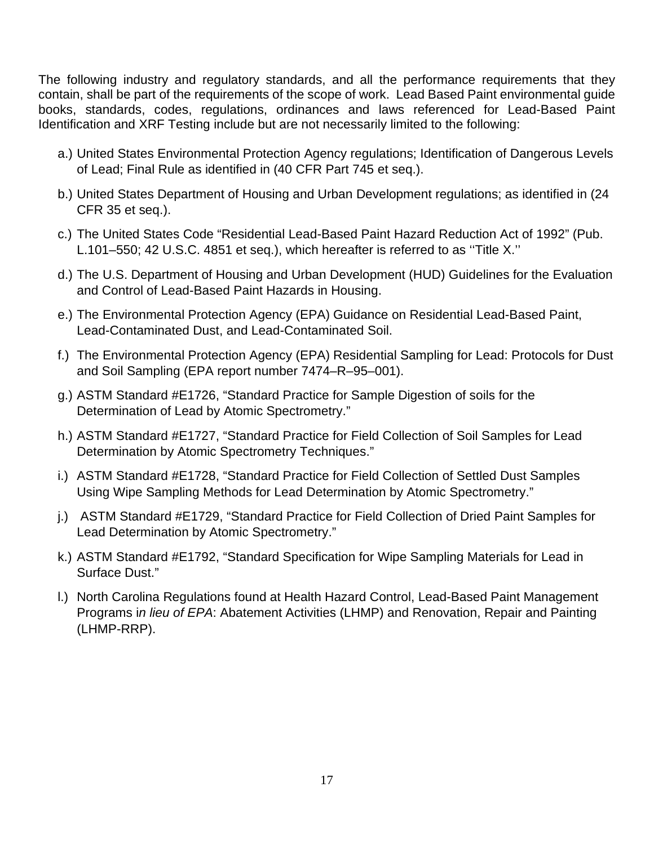The following industry and regulatory standards, and all the performance requirements that they contain, shall be part of the requirements of the scope of work. Lead Based Paint environmental guide books, standards, codes, regulations, ordinances and laws referenced for Lead-Based Paint Identification and XRF Testing include but are not necessarily limited to the following:

- a.) United States Environmental Protection Agency regulations; Identification of Dangerous Levels of Lead; Final Rule as identified in (40 CFR Part 745 et seq.).
- b.) United States Department of Housing and Urban Development regulations; as identified in (24 CFR 35 et seq.).
- c.) The United States Code "Residential Lead-Based Paint Hazard Reduction Act of 1992" (Pub. L.101–550; 42 U.S.C. 4851 et seq.), which hereafter is referred to as ''Title X.''
- d.) The U.S. Department of Housing and Urban Development (HUD) Guidelines for the Evaluation and Control of Lead-Based Paint Hazards in Housing.
- e.) The Environmental Protection Agency (EPA) Guidance on Residential Lead-Based Paint, Lead-Contaminated Dust, and Lead-Contaminated Soil.
- f.) The Environmental Protection Agency (EPA) Residential Sampling for Lead: Protocols for Dust and Soil Sampling (EPA report number 7474–R–95–001).
- g.) ASTM Standard #E1726, "Standard Practice for Sample Digestion of soils for the Determination of Lead by Atomic Spectrometry."
- h.) ASTM Standard #E1727, "Standard Practice for Field Collection of Soil Samples for Lead Determination by Atomic Spectrometry Techniques."
- i.) ASTM Standard #E1728, "Standard Practice for Field Collection of Settled Dust Samples Using Wipe Sampling Methods for Lead Determination by Atomic Spectrometry."
- j.) ASTM Standard #E1729, "Standard Practice for Field Collection of Dried Paint Samples for Lead Determination by Atomic Spectrometry."
- k.) ASTM Standard #E1792, "Standard Specification for Wipe Sampling Materials for Lead in Surface Dust."
- l.) North Carolina Regulations found at Health Hazard Control, Lead-Based Paint Management Programs i*n lieu of EPA*: Abatement Activities (LHMP) and Renovation, Repair and Painting (LHMP-RRP).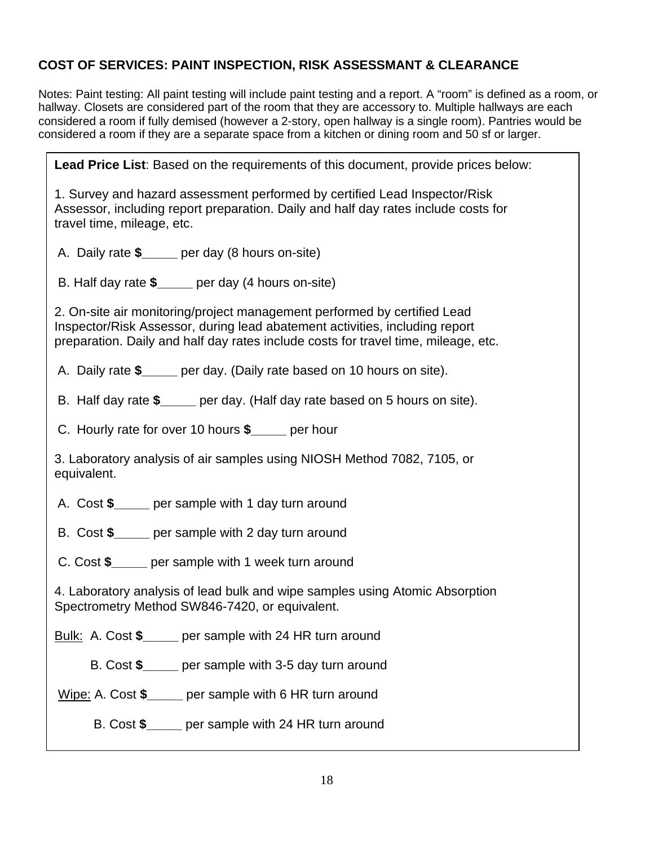# **COST OF SERVICES: PAINT INSPECTION, RISK ASSESSMANT & CLEARANCE**

Notes: Paint testing: All paint testing will include paint testing and a report. A "room" is defined as a room, or hallway. Closets are considered part of the room that they are accessory to. Multiple hallways are each considered a room if fully demised (however a 2-story, open hallway is a single room). Pantries would be considered a room if they are a separate space from a kitchen or dining room and 50 sf or larger.

**Lead Price List**: Based on the requirements of this document, provide prices below: 1. Survey and hazard assessment performed by certified Lead Inspector/Risk Assessor, including report preparation. Daily and half day rates include costs for travel time, mileage, etc. A. Daily rate **\$\_\_\_\_\_** per day (8 hours on-site) B. Half day rate **\$\_\_\_\_\_** per day (4 hours on-site) 2. On-site air monitoring/project management performed by certified Lead Inspector/Risk Assessor, during lead abatement activities, including report preparation. Daily and half day rates include costs for travel time, mileage, etc. A. Daily rate **\$\_\_\_\_\_** per day. (Daily rate based on 10 hours on site). B. Half day rate **\$\_\_\_\_\_** per day. (Half day rate based on 5 hours on site). C. Hourly rate for over 10 hours **\$\_\_\_\_\_** per hour 3. Laboratory analysis of air samples using NIOSH Method 7082, 7105, or equivalent. A. Cost **\$\_\_\_\_\_** per sample with 1 day turn around B. Cost **\$\_\_\_\_\_** per sample with 2 day turn around C. Cost **\$\_\_\_\_\_** per sample with 1 week turn around 4. Laboratory analysis of lead bulk and wipe samples using Atomic Absorption Spectrometry Method SW846-7420, or equivalent. Bulk: A. Cost **\$\_\_\_\_\_** per sample with 24 HR turn around B. Cost **\$\_\_\_\_\_** per sample with 3-5 day turn around Wipe: A. Cost **\$\_\_\_\_\_** per sample with 6 HR turn around B. Cost **\$\_\_\_\_\_** per sample with 24 HR turn around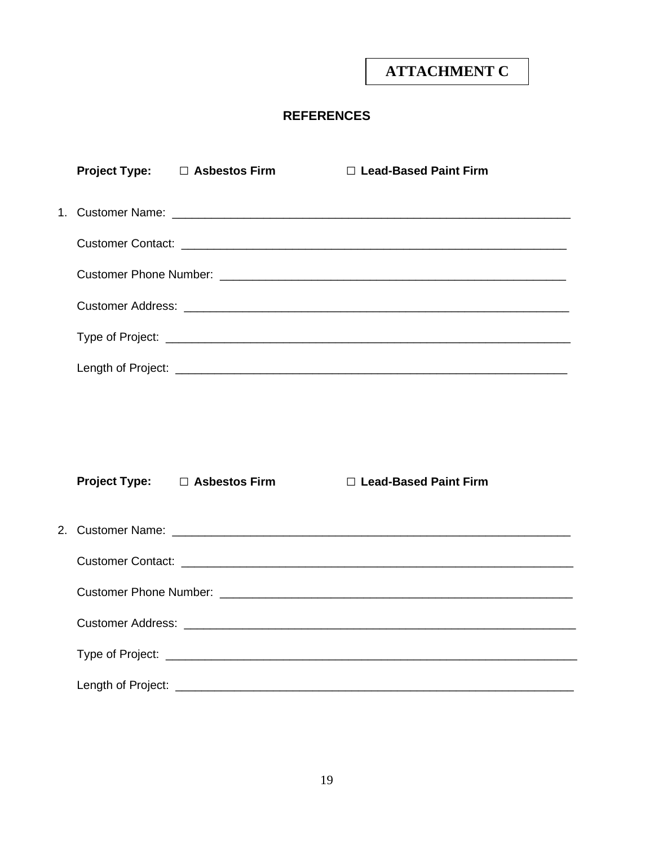# **ATTACHMENT C**

# **REFERENCES**

|  | Project Type: □ Asbestos Firm | □ Lead-Based Paint Firm |
|--|-------------------------------|-------------------------|
|  |                               |                         |
|  |                               |                         |
|  |                               |                         |
|  |                               |                         |
|  |                               |                         |
|  |                               |                         |
|  |                               |                         |
|  |                               |                         |
|  | Project Type: □ Asbestos Firm | □ Lead-Based Paint Firm |
|  |                               |                         |
|  |                               |                         |
|  |                               |                         |
|  |                               |                         |
|  |                               |                         |
|  |                               |                         |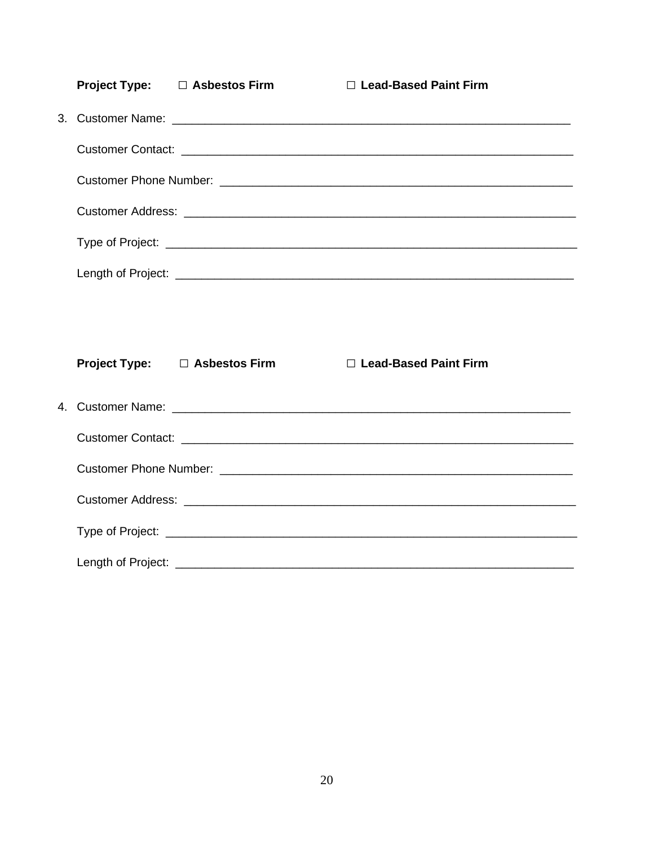|  | Project Type: □ Asbestos Firm | □ Lead-Based Paint Firm |
|--|-------------------------------|-------------------------|
|  |                               |                         |
|  |                               |                         |
|  |                               |                         |
|  |                               |                         |
|  |                               |                         |
|  |                               |                         |
|  |                               |                         |
|  |                               |                         |
|  |                               |                         |
|  | Project Type: □ Asbestos Firm | □ Lead-Based Paint Firm |
|  |                               |                         |
|  |                               |                         |
|  |                               |                         |
|  |                               |                         |
|  |                               |                         |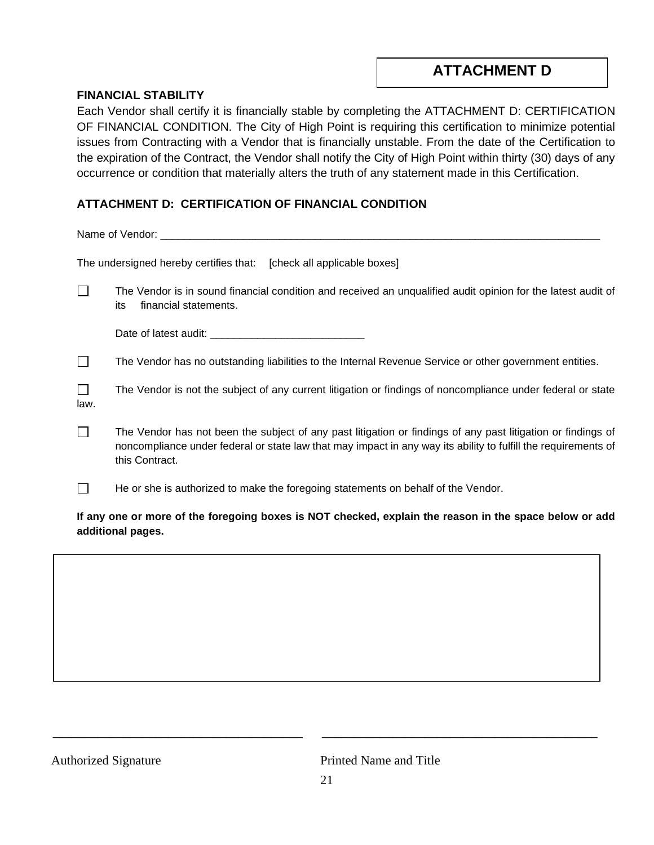# **ATTACHMENT D**

#### **FINANCIAL STABILITY**

Each Vendor shall certify it is financially stable by completing the ATTACHMENT D: CERTIFICATION OF FINANCIAL CONDITION. The City of High Point is requiring this certification to minimize potential issues from Contracting with a Vendor that is financially unstable. From the date of the Certification to the expiration of the Contract, the Vendor shall notify the City of High Point within thirty (30) days of any occurrence or condition that materially alters the truth of any statement made in this Certification.

# **ATTACHMENT D: CERTIFICATION OF FINANCIAL CONDITION**

Name of Vendor: \_\_\_\_\_\_\_\_\_\_\_\_\_\_\_\_\_\_\_\_\_\_\_\_\_\_\_\_\_\_\_\_\_\_\_\_\_\_\_\_\_\_\_\_\_\_\_\_\_\_\_\_\_\_\_\_\_\_\_\_\_\_\_\_\_\_\_\_\_\_\_\_\_\_

| The undersigned hereby certifies that: [check all applicable boxes] |  |
|---------------------------------------------------------------------|--|
|---------------------------------------------------------------------|--|

 $\Box$ The Vendor is in sound financial condition and received an unqualified audit opinion for the latest audit of its financial statements.

| Date of latest audit: |  |
|-----------------------|--|
|-----------------------|--|

 $\Box$ The Vendor has no outstanding liabilities to the Internal Revenue Service or other government entities.

- $\Box$ The Vendor is not the subject of any current litigation or findings of noncompliance under federal or state law.
- $\Box$ The Vendor has not been the subject of any past litigation or findings of any past litigation or findings of noncompliance under federal or state law that may impact in any way its ability to fulfill the requirements of this Contract.
- $\Box$ He or she is authorized to make the foregoing statements on behalf of the Vendor.

**If any one or more of the foregoing boxes is NOT checked, explain the reason in the space below or add additional pages.**

Authorized Signature **Printed Name and Title** 

**\_\_\_\_\_\_\_\_\_\_\_\_\_\_\_\_\_\_\_\_\_\_\_\_\_\_\_\_\_\_\_\_\_\_\_\_\_\_\_ \_\_\_\_\_\_\_\_\_\_\_\_\_\_\_\_\_\_\_\_\_\_\_\_\_\_\_\_\_\_\_\_\_\_\_\_\_\_\_\_\_\_\_**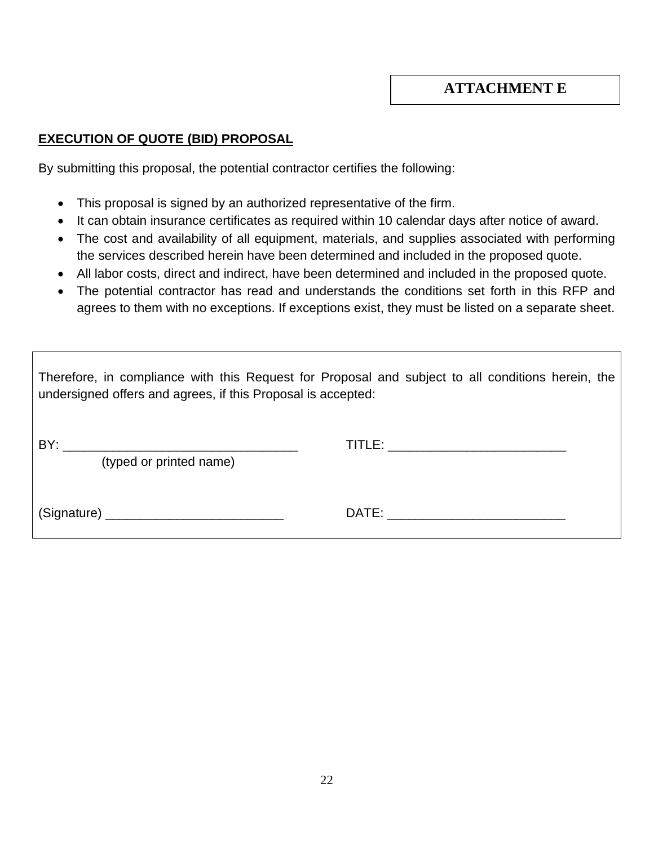# **EXECUTION OF QUOTE (BID) PROPOSAL**

By submitting this proposal, the potential contractor certifies the following:

- This proposal is signed by an authorized representative of the firm.
- It can obtain insurance certificates as required within 10 calendar days after notice of award.
- The cost and availability of all equipment, materials, and supplies associated with performing the services described herein have been determined and included in the proposed quote.
- All labor costs, direct and indirect, have been determined and included in the proposed quote.
- The potential contractor has read and understands the conditions set forth in this RFP and agrees to them with no exceptions. If exceptions exist, they must be listed on a separate sheet.

| Therefore, in compliance with this Request for Proposal and subject to all conditions herein, the<br>undersigned offers and agrees, if this Proposal is accepted: |                                                                                                                                                                                                                                |  |
|-------------------------------------------------------------------------------------------------------------------------------------------------------------------|--------------------------------------------------------------------------------------------------------------------------------------------------------------------------------------------------------------------------------|--|
| BY:<br><u> 1980 - Johann John Stone, markin fan it ferskearre fan it ferskearre fan it ferskearre fan it ferskearre fan </u><br>(typed or printed name)           |                                                                                                                                                                                                                                |  |
|                                                                                                                                                                   | DATE: the contract of the contract of the contract of the contract of the contract of the contract of the contract of the contract of the contract of the contract of the contract of the contract of the contract of the cont |  |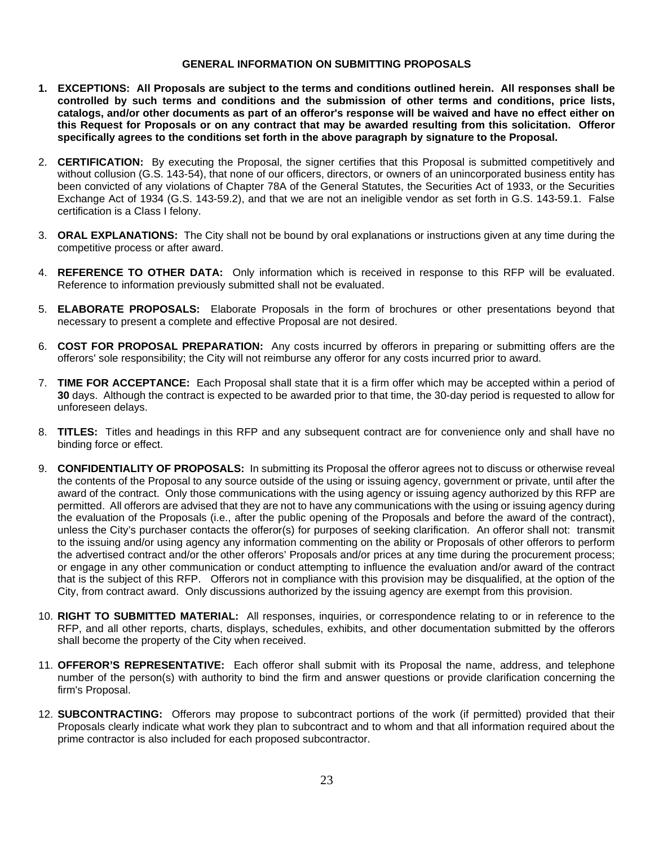#### **GENERAL INFORMATION ON SUBMITTING PROPOSALS**

- **1. EXCEPTIONS: All Proposals are subject to the terms and conditions outlined herein. All responses shall be controlled by such terms and conditions and the submission of other terms and conditions, price lists, catalogs, and/or other documents as part of an offeror's response will be waived and have no effect either on this Request for Proposals or on any contract that may be awarded resulting from this solicitation. Offeror specifically agrees to the conditions set forth in the above paragraph by signature to the Proposal.**
- 2. **CERTIFICATION:** By executing the Proposal, the signer certifies that this Proposal is submitted competitively and without collusion (G.S. 143-54), that none of our officers, directors, or owners of an unincorporated business entity has been convicted of any violations of Chapter 78A of the General Statutes, the Securities Act of 1933, or the Securities Exchange Act of 1934 (G.S. 143-59.2), and that we are not an ineligible vendor as set forth in G.S. 143-59.1. False certification is a Class I felony.
- 3. **ORAL EXPLANATIONS:** The City shall not be bound by oral explanations or instructions given at any time during the competitive process or after award.
- 4. **REFERENCE TO OTHER DATA:** Only information which is received in response to this RFP will be evaluated. Reference to information previously submitted shall not be evaluated.
- 5. **ELABORATE PROPOSALS:** Elaborate Proposals in the form of brochures or other presentations beyond that necessary to present a complete and effective Proposal are not desired.
- 6. **COST FOR PROPOSAL PREPARATION:** Any costs incurred by offerors in preparing or submitting offers are the offerors' sole responsibility; the City will not reimburse any offeror for any costs incurred prior to award.
- 7. **TIME FOR ACCEPTANCE:** Each Proposal shall state that it is a firm offer which may be accepted within a period of **30** days. Although the contract is expected to be awarded prior to that time, the 30-day period is requested to allow for unforeseen delays.
- 8. **TITLES:** Titles and headings in this RFP and any subsequent contract are for convenience only and shall have no binding force or effect.
- 9. **CONFIDENTIALITY OF PROPOSALS:** In submitting its Proposal the offeror agrees not to discuss or otherwise reveal the contents of the Proposal to any source outside of the using or issuing agency, government or private, until after the award of the contract. Only those communications with the using agency or issuing agency authorized by this RFP are permitted. All offerors are advised that they are not to have any communications with the using or issuing agency during the evaluation of the Proposals (i.e., after the public opening of the Proposals and before the award of the contract), unless the City's purchaser contacts the offeror(s) for purposes of seeking clarification. An offeror shall not: transmit to the issuing and/or using agency any information commenting on the ability or Proposals of other offerors to perform the advertised contract and/or the other offerors' Proposals and/or prices at any time during the procurement process; or engage in any other communication or conduct attempting to influence the evaluation and/or award of the contract that is the subject of this RFP. Offerors not in compliance with this provision may be disqualified, at the option of the City, from contract award. Only discussions authorized by the issuing agency are exempt from this provision.
- 10. **RIGHT TO SUBMITTED MATERIAL:** All responses, inquiries, or correspondence relating to or in reference to the RFP, and all other reports, charts, displays, schedules, exhibits, and other documentation submitted by the offerors shall become the property of the City when received.
- 11. **OFFEROR'S REPRESENTATIVE:** Each offeror shall submit with its Proposal the name, address, and telephone number of the person(s) with authority to bind the firm and answer questions or provide clarification concerning the firm's Proposal.
- 12. **SUBCONTRACTING:** Offerors may propose to subcontract portions of the work (if permitted) provided that their Proposals clearly indicate what work they plan to subcontract and to whom and that all information required about the prime contractor is also included for each proposed subcontractor.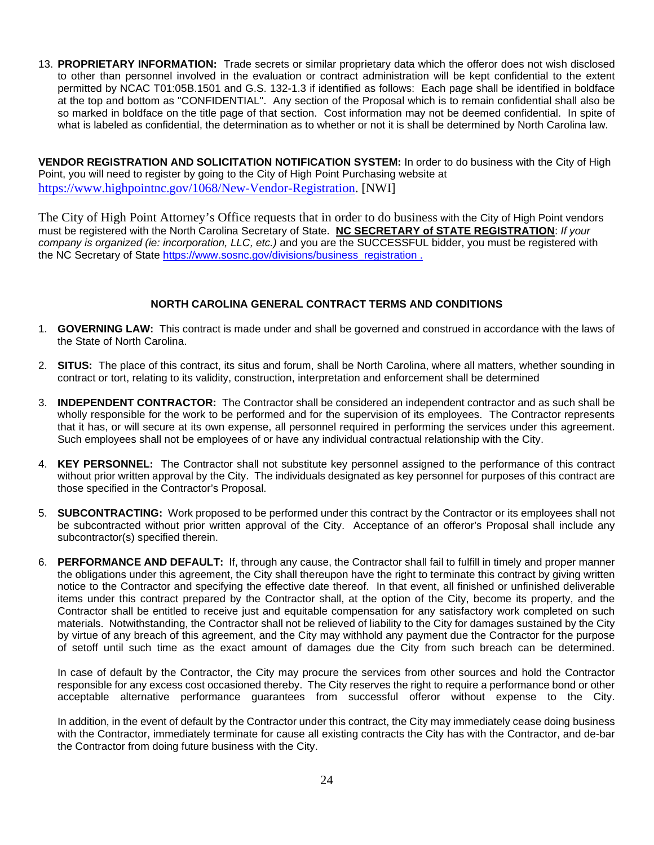13. **PROPRIETARY INFORMATION:** Trade secrets or similar proprietary data which the offeror does not wish disclosed to other than personnel involved in the evaluation or contract administration will be kept confidential to the extent permitted by NCAC T01:05B.1501 and G.S. 132-1.3 if identified as follows: Each page shall be identified in boldface at the top and bottom as "CONFIDENTIAL". Any section of the Proposal which is to remain confidential shall also be so marked in boldface on the title page of that section. Cost information may not be deemed confidential. In spite of what is labeled as confidential, the determination as to whether or not it is shall be determined by North Carolina law.

**VENDOR REGISTRATION AND SOLICITATION NOTIFICATION SYSTEM:** In order to do business with the City of High Point, you will need to register by going to the City of High Point Purchasing website at [https://www.highpointnc.gov/1068/New-Vendor-Registration.](https://www.highpointnc.gov/1068/New-Vendor-Registration) [NWI]

The City of High Point Attorney's Office requests that in order to do business with the City of High Point vendors must be registered with the North Carolina Secretary of State. **NC SECRETARY of STATE REGISTRATION**: *If your company is organized (ie: incorporation, LLC, etc.)* and you are the SUCCESSFUL bidder, you must be registered with the NC Secretary of State [https://www.sosnc.gov/divisions/business\\_registration](https://www.sosnc.gov/divisions/business_registration) .

#### **NORTH CAROLINA GENERAL CONTRACT TERMS AND CONDITIONS**

- 1. **GOVERNING LAW:** This contract is made under and shall be governed and construed in accordance with the laws of the State of North Carolina.
- 2. **SITUS:** The place of this contract, its situs and forum, shall be North Carolina, where all matters, whether sounding in contract or tort, relating to its validity, construction, interpretation and enforcement shall be determined
- 3. **INDEPENDENT CONTRACTOR:** The Contractor shall be considered an independent contractor and as such shall be wholly responsible for the work to be performed and for the supervision of its employees. The Contractor represents that it has, or will secure at its own expense, all personnel required in performing the services under this agreement. Such employees shall not be employees of or have any individual contractual relationship with the City.
- 4. **KEY PERSONNEL:** The Contractor shall not substitute key personnel assigned to the performance of this contract without prior written approval by the City. The individuals designated as key personnel for purposes of this contract are those specified in the Contractor's Proposal.
- 5. **SUBCONTRACTING:** Work proposed to be performed under this contract by the Contractor or its employees shall not be subcontracted without prior written approval of the City. Acceptance of an offeror's Proposal shall include any subcontractor(s) specified therein.
- 6. **PERFORMANCE AND DEFAULT:** If, through any cause, the Contractor shall fail to fulfill in timely and proper manner the obligations under this agreement, the City shall thereupon have the right to terminate this contract by giving written notice to the Contractor and specifying the effective date thereof. In that event, all finished or unfinished deliverable items under this contract prepared by the Contractor shall, at the option of the City, become its property, and the Contractor shall be entitled to receive just and equitable compensation for any satisfactory work completed on such materials. Notwithstanding, the Contractor shall not be relieved of liability to the City for damages sustained by the City by virtue of any breach of this agreement, and the City may withhold any payment due the Contractor for the purpose of setoff until such time as the exact amount of damages due the City from such breach can be determined.

In case of default by the Contractor, the City may procure the services from other sources and hold the Contractor responsible for any excess cost occasioned thereby. The City reserves the right to require a performance bond or other acceptable alternative performance guarantees from successful offeror without expense to the City.

In addition, in the event of default by the Contractor under this contract, the City may immediately cease doing business with the Contractor, immediately terminate for cause all existing contracts the City has with the Contractor, and de-bar the Contractor from doing future business with the City.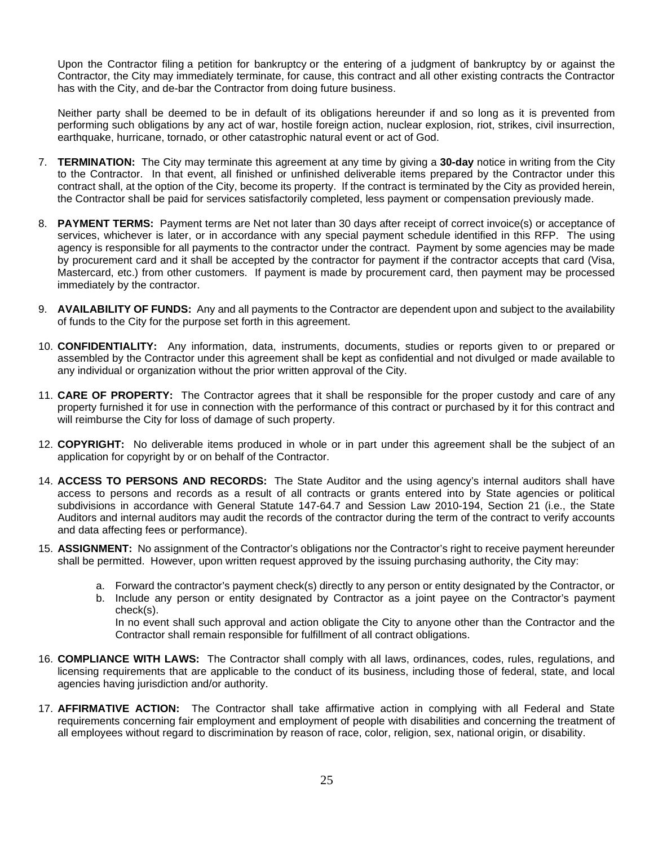Upon the Contractor filing a petition for bankruptcy or the entering of a judgment of bankruptcy by or against the Contractor, the City may immediately terminate, for cause, this contract and all other existing contracts the Contractor has with the City, and de-bar the Contractor from doing future business.

Neither party shall be deemed to be in default of its obligations hereunder if and so long as it is prevented from performing such obligations by any act of war, hostile foreign action, nuclear explosion, riot, strikes, civil insurrection, earthquake, hurricane, tornado, or other catastrophic natural event or act of God.

- 7. **TERMINATION:** The City may terminate this agreement at any time by giving a **30-day** notice in writing from the City to the Contractor. In that event, all finished or unfinished deliverable items prepared by the Contractor under this contract shall, at the option of the City, become its property. If the contract is terminated by the City as provided herein, the Contractor shall be paid for services satisfactorily completed, less payment or compensation previously made.
- 8. **PAYMENT TERMS:** Payment terms are Net not later than 30 days after receipt of correct invoice(s) or acceptance of services, whichever is later, or in accordance with any special payment schedule identified in this RFP. The using agency is responsible for all payments to the contractor under the contract. Payment by some agencies may be made by procurement card and it shall be accepted by the contractor for payment if the contractor accepts that card (Visa, Mastercard, etc.) from other customers. If payment is made by procurement card, then payment may be processed immediately by the contractor.
- 9. **AVAILABILITY OF FUNDS:** Any and all payments to the Contractor are dependent upon and subject to the availability of funds to the City for the purpose set forth in this agreement.
- 10. **CONFIDENTIALITY:** Any information, data, instruments, documents, studies or reports given to or prepared or assembled by the Contractor under this agreement shall be kept as confidential and not divulged or made available to any individual or organization without the prior written approval of the City.
- 11. **CARE OF PROPERTY:** The Contractor agrees that it shall be responsible for the proper custody and care of any property furnished it for use in connection with the performance of this contract or purchased by it for this contract and will reimburse the City for loss of damage of such property.
- 12. **COPYRIGHT:** No deliverable items produced in whole or in part under this agreement shall be the subject of an application for copyright by or on behalf of the Contractor.
- 14. **ACCESS TO PERSONS AND RECORDS:** The State Auditor and the using agency's internal auditors shall have access to persons and records as a result of all contracts or grants entered into by State agencies or political subdivisions in accordance with General Statute 147-64.7 and Session Law 2010-194, Section 21 (i.e., the State Auditors and internal auditors may audit the records of the contractor during the term of the contract to verify accounts and data affecting fees or performance).
- 15. **ASSIGNMENT:** No assignment of the Contractor's obligations nor the Contractor's right to receive payment hereunder shall be permitted. However, upon written request approved by the issuing purchasing authority, the City may:
	- a. Forward the contractor's payment check(s) directly to any person or entity designated by the Contractor, or
	- b. Include any person or entity designated by Contractor as a joint payee on the Contractor's payment check(s).

In no event shall such approval and action obligate the City to anyone other than the Contractor and the Contractor shall remain responsible for fulfillment of all contract obligations.

- 16. **COMPLIANCE WITH LAWS:** The Contractor shall comply with all laws, ordinances, codes, rules, regulations, and licensing requirements that are applicable to the conduct of its business, including those of federal, state, and local agencies having jurisdiction and/or authority.
- 17. **AFFIRMATIVE ACTION:** The Contractor shall take affirmative action in complying with all Federal and State requirements concerning fair employment and employment of people with disabilities and concerning the treatment of all employees without regard to discrimination by reason of race, color, religion, sex, national origin, or disability.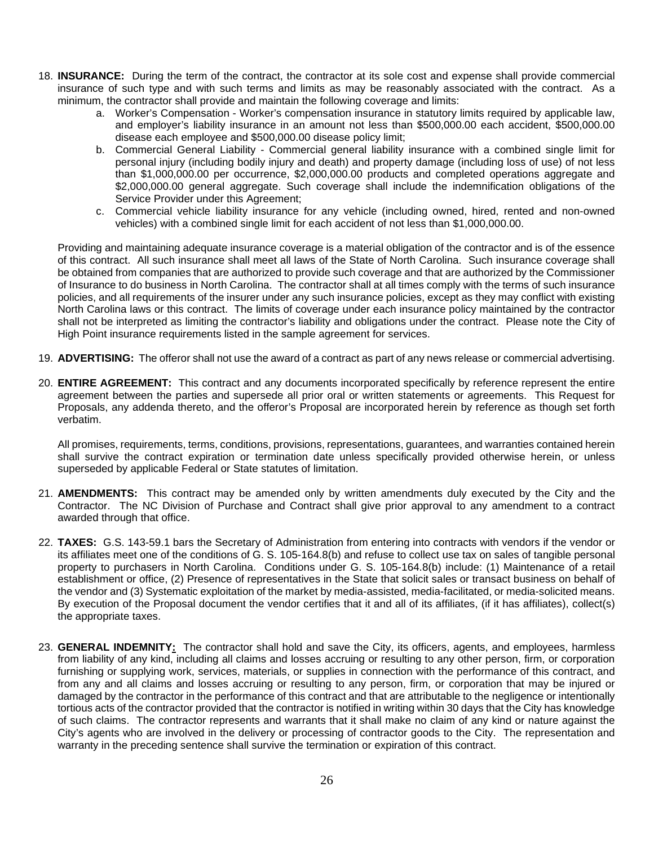- 18. **INSURANCE:** During the term of the contract, the contractor at its sole cost and expense shall provide commercial insurance of such type and with such terms and limits as may be reasonably associated with the contract. As a minimum, the contractor shall provide and maintain the following coverage and limits:
	- a. Worker's Compensation Worker's compensation insurance in statutory limits required by applicable law, and employer's liability insurance in an amount not less than \$500,000.00 each accident, \$500,000.00 disease each employee and \$500,000.00 disease policy limit;
	- b. Commercial General Liability Commercial general liability insurance with a combined single limit for personal injury (including bodily injury and death) and property damage (including loss of use) of not less than \$1,000,000.00 per occurrence, \$2,000,000.00 products and completed operations aggregate and \$2,000,000.00 general aggregate. Such coverage shall include the indemnification obligations of the Service Provider under this Agreement;
	- c. Commercial vehicle liability insurance for any vehicle (including owned, hired, rented and non-owned vehicles) with a combined single limit for each accident of not less than \$1,000,000.00.

Providing and maintaining adequate insurance coverage is a material obligation of the contractor and is of the essence of this contract. All such insurance shall meet all laws of the State of North Carolina. Such insurance coverage shall be obtained from companies that are authorized to provide such coverage and that are authorized by the Commissioner of Insurance to do business in North Carolina. The contractor shall at all times comply with the terms of such insurance policies, and all requirements of the insurer under any such insurance policies, except as they may conflict with existing North Carolina laws or this contract. The limits of coverage under each insurance policy maintained by the contractor shall not be interpreted as limiting the contractor's liability and obligations under the contract. Please note the City of High Point insurance requirements listed in the sample agreement for services.

- 19. **ADVERTISING:** The offeror shall not use the award of a contract as part of any news release or commercial advertising.
- 20. **ENTIRE AGREEMENT:** This contract and any documents incorporated specifically by reference represent the entire agreement between the parties and supersede all prior oral or written statements or agreements. This Request for Proposals, any addenda thereto, and the offeror's Proposal are incorporated herein by reference as though set forth verbatim.

All promises, requirements, terms, conditions, provisions, representations, guarantees, and warranties contained herein shall survive the contract expiration or termination date unless specifically provided otherwise herein, or unless superseded by applicable Federal or State statutes of limitation.

- 21. **AMENDMENTS:** This contract may be amended only by written amendments duly executed by the City and the Contractor. The NC Division of Purchase and Contract shall give prior approval to any amendment to a contract awarded through that office.
- 22. **TAXES:** G.S. 143-59.1 bars the Secretary of Administration from entering into contracts with vendors if the vendor or its affiliates meet one of the conditions of G. S. 105-164.8(b) and refuse to collect use tax on sales of tangible personal property to purchasers in North Carolina. Conditions under G. S. 105-164.8(b) include: (1) Maintenance of a retail establishment or office, (2) Presence of representatives in the State that solicit sales or transact business on behalf of the vendor and (3) Systematic exploitation of the market by media-assisted, media-facilitated, or media-solicited means. By execution of the Proposal document the vendor certifies that it and all of its affiliates, (if it has affiliates), collect(s) the appropriate taxes.
- 23. **GENERAL INDEMNITY:** The contractor shall hold and save the City, its officers, agents, and employees, harmless from liability of any kind, including all claims and losses accruing or resulting to any other person, firm, or corporation furnishing or supplying work, services, materials, or supplies in connection with the performance of this contract, and from any and all claims and losses accruing or resulting to any person, firm, or corporation that may be injured or damaged by the contractor in the performance of this contract and that are attributable to the negligence or intentionally tortious acts of the contractor provided that the contractor is notified in writing within 30 days that the City has knowledge of such claims. The contractor represents and warrants that it shall make no claim of any kind or nature against the City's agents who are involved in the delivery or processing of contractor goods to the City. The representation and warranty in the preceding sentence shall survive the termination or expiration of this contract.